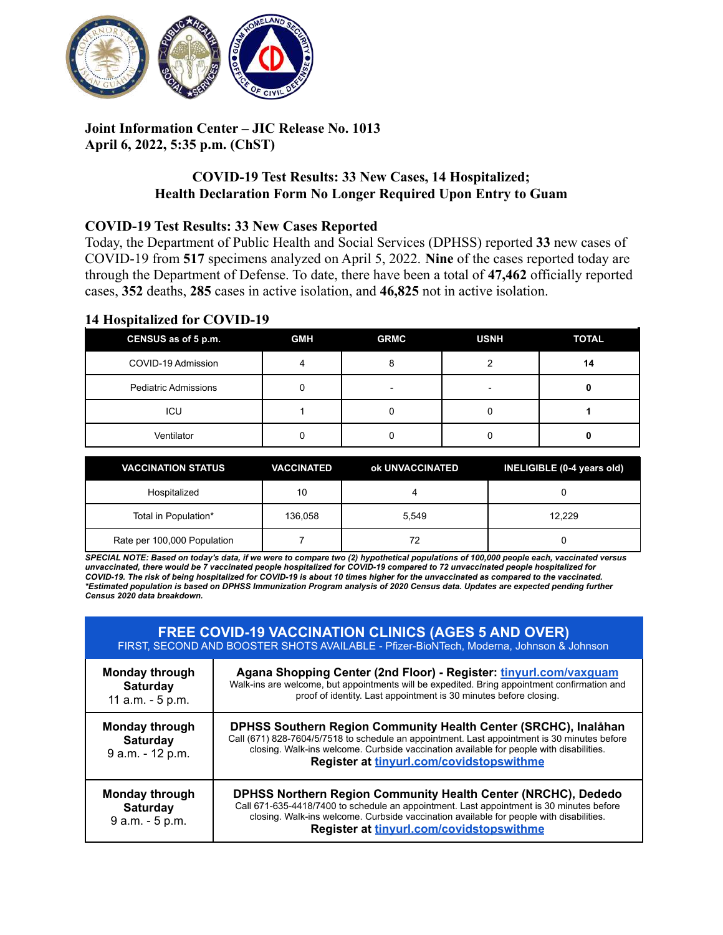

# **Joint Information Center – JIC Release No. 1013 April 6, 2022, 5:35 p.m. (ChST)**

# **COVID-19 Test Results: 33 New Cases, 14 Hospitalized; Health Declaration Form No Longer Required Upon Entry to Guam**

#### **COVID-19 Test Results: 33 New Cases Reported**

Today, the Department of Public Health and Social Services (DPHSS) reported **33** new cases of COVID-19 from **517** specimens analyzed on April 5, 2022. **Nine** of the cases reported today are through the Department of Defense. To date, there have been a total of **47,462** officially reported cases, **352** deaths, **285** cases in active isolation, and **46,825** not in active isolation.

### **14 Hospitalized for COVID-19**

| CENSUS as of 5 p.m.         | <b>GMH</b> | <b>GRMC</b> | <b>USNH</b>              | <b>TOTAL</b> |
|-----------------------------|------------|-------------|--------------------------|--------------|
| COVID-19 Admission          |            |             |                          | 14           |
| <b>Pediatric Admissions</b> |            | -           | $\overline{\phantom{0}}$ |              |
| ICU                         |            |             |                          |              |
| Ventilator                  |            |             |                          |              |

| <b>VACCINATION STATUS</b>   | <b>VACCINATED</b> | ok UNVACCINATED | INELIGIBLE (0-4 years old) |
|-----------------------------|-------------------|-----------------|----------------------------|
| Hospitalized                | 10                |                 |                            |
| Total in Population*        | 136,058           | 5.549           | 12.229                     |
| Rate per 100,000 Population |                   | 72              |                            |

SPECIAL NOTE: Based on today's data, if we were to compare two (2) hypothetical populations of 100,000 people each, vaccinated versus unvaccinated, there would be 7 vaccinated people hospitalized for COVID-19 compared to 72 unvaccinated people hospitalized for COVID-19. The risk of being hospitalized for COVID-19 is about 10 times higher for the unvaccinated as compared to the vaccinated. \*Estimated population is based on DPHSS Immunization Program analysis of 2020 Census data. Updates are expected pending further *Census 2020 data breakdown.*

| <b>FREE COVID-19 VACCINATION CLINICS (AGES 5 AND OVER)</b><br>FIRST, SECOND AND BOOSTER SHOTS AVAILABLE - Pfizer-BioNTech, Moderna, Johnson & Johnson |                                                                                                                                                                                                                                                                                                         |  |  |
|-------------------------------------------------------------------------------------------------------------------------------------------------------|---------------------------------------------------------------------------------------------------------------------------------------------------------------------------------------------------------------------------------------------------------------------------------------------------------|--|--|
| Monday through<br><b>Saturday</b><br>11 a.m. - 5 p.m.                                                                                                 | Agana Shopping Center (2nd Floor) - Register: tinyurl.com/vaxquam<br>Walk-ins are welcome, but appointments will be expedited. Bring appointment confirmation and<br>proof of identity. Last appointment is 30 minutes before closing.                                                                  |  |  |
| <b>Monday through</b><br><b>Saturday</b><br>9 a.m. - 12 p.m.                                                                                          | DPHSS Southern Region Community Health Center (SRCHC), Inalahan<br>Call (671) 828-7604/5/7518 to schedule an appointment. Last appointment is 30 minutes before<br>closing. Walk-ins welcome. Curbside vaccination available for people with disabilities.<br>Register at tinyurl.com/covidstopswithme  |  |  |
| <b>Monday through</b><br><b>Saturday</b><br>9 a.m. - 5 p.m.                                                                                           | <b>DPHSS Northern Region Community Health Center (NRCHC), Dededo</b><br>Call 671-635-4418/7400 to schedule an appointment. Last appointment is 30 minutes before<br>closing. Walk-ins welcome. Curbside vaccination available for people with disabilities.<br>Register at tinyurl.com/covidstopswithme |  |  |